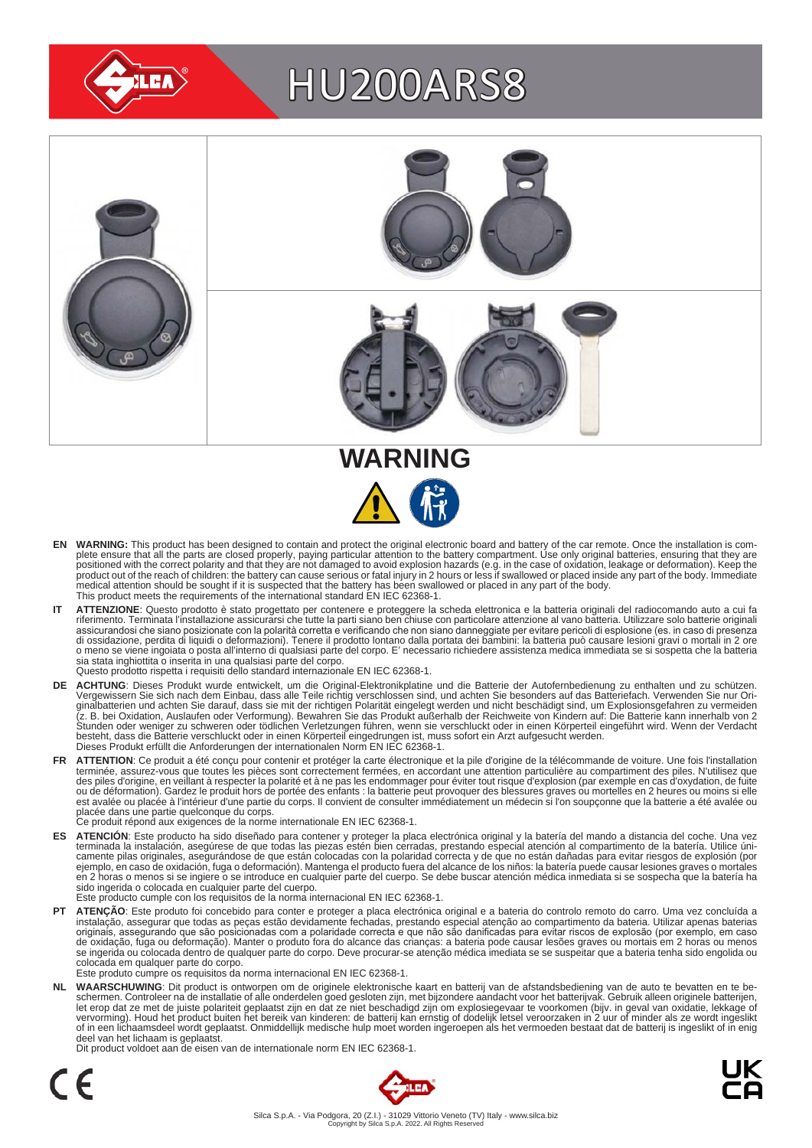

# HU200ARS8





- EN WARNING: This product has been designed to contain and protect the original electronic board and battery of the car remote. Once the installation is complete ensure that all the parts are closed properly, paying particu medical attention should be sought if it is suspected that the battery has been swallowed or placed in any part of the body. This product meets the requirements of the international standard EN IEC 62368-1.
- IT ATTENZIONE: Questo prodotto è stato progettato per contenere e proteggere la scheda elettronica e la batteria originali del radiocomando auto a cui fa<br>riferimento. Terminata l'installazione assicurarsi che tutte la part assicurandosi che siano posizionate con la polarità corretta e verificando che non siano danneggiate per evitare pericoli di esplosione (es. in caso di presenza<br>di ossidazione, perdita di liquidi o deformazioni). Tenere il sia stata inghiottita o inserita in una qualsiasi parte del corpo. Questo prodotto rispetta i requisiti dello standard internazionale EN IEC 62368-1.
- **DE ACHTUNG**: Dieses Produkt wurde entwickelt, um die Original-Elektronikplatine und die Batterie der Autofernbedienung zu enthalten und zu schützen.<br>Vergewissern Sie sich nach dem Einbau, dass alle Teile richtig verschlos besteht, dass die Batterie verschluckt oder in einen Körperteil eingedrungen ist, muss sofort ein Arzt aufgesucht werden.<br>Dieses Produkt erfüllt die Anforderungen der internationalen Norm EN IEC 62368-1.
- FR ATTENTION: Ce produit a été conçu pour contenir et protéger la carte électronique et la pile d'origine de la télécommande de voiture. Une fois l'installation terminée, assurez-vous que toutes les pièces sont correctement fermées, en accordant une attention particulière au compartiment des piles. N'utilisez que<br>des piles d'origine, en veillant à respecter la polarité et à ne pas est avalée ou placée à l'intérieur d'une partie du corps. Il convient de consulter immédiatement un médecin si l'on soupçonne que la batterie a été avalée ou<br>placée dans une partie quelconque du corps.<br>Ce produit répond au
	-
- ES ATENCION: Este producto ha sido diseñado para contener y proteger la placa electrónica original y la batería del mando a distancia del coche. Una vez<br>-terminada la instalación, asegúrese de que todas las piezas estén bi camente pilas originales, asegurándose de que están colocadas con la polaridad correcta y de que no están dañadas para evitar riesgos de explosión (por<br>ejemplo, en caso de oxidación, fuga o deformación). Mantenga el produc sido ingerida o colocada en cualquier parte del cuerpo.
- Este producto cumple con los requisitos de la norma internacional EN IEC 62368-1.
- **PT ATENÇAO**: Este produto foi concebido para conter e proteger a placa electrónica original e a bateria do controlo remoto do carro. Uma vez concluída a instalação, assegurar que todas as peças estão devidamente fechadas, colocada em qualquer parte do corpo. Este produto cumpre os requisitos da norma internacional EN IEC 62368-1.

NL WAARSCHUWING: Dit product is ontworpen om de originele elektronische kaart en batterij van de afstandsbediening van de auto te bevatten en te be-<br>schermen. Controleer na de installatie of alle onderdelen goed gesloten z of in een lichaamsdeel wordt geplaatst. Onmiddellijk medische hulp moet worden ingeroepen als het vermoeden bestaat dat de batterij is ingeslikt of in enig deel van het lichaam is geplaatst.

Dit product voldoet aan de eisen van de internationale norm EN IEC 62368-1.